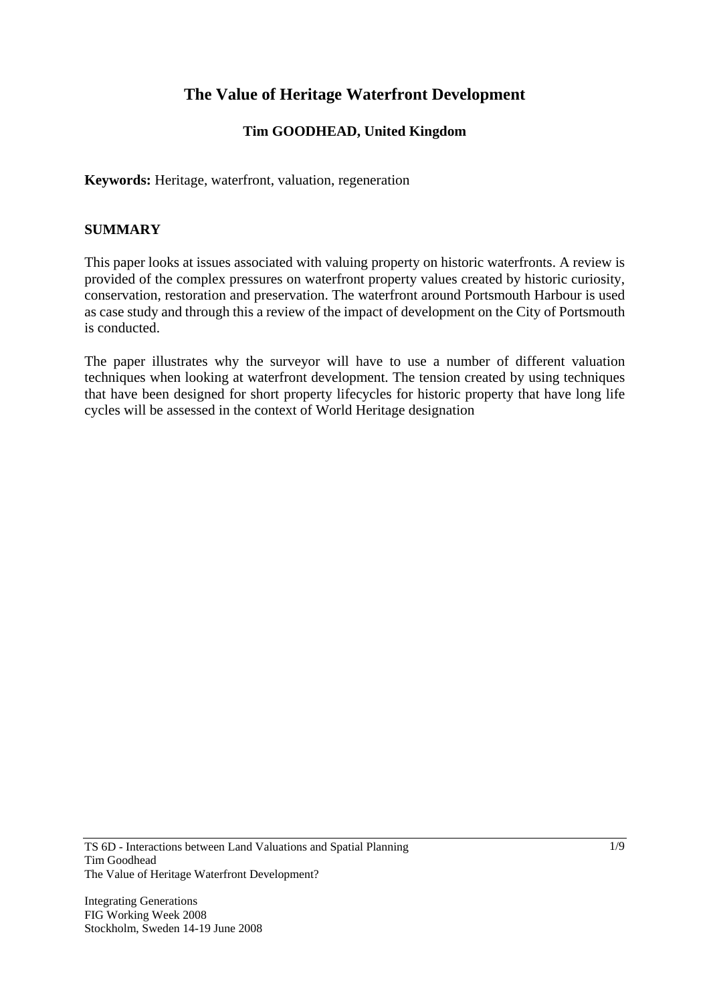# **The Value of Heritage Waterfront Development**

### **Tim GOODHEAD, United Kingdom**

**Keywords:** Heritage, waterfront, valuation, regeneration

### **SUMMARY**

This paper looks at issues associated with valuing property on historic waterfronts. A review is provided of the complex pressures on waterfront property values created by historic curiosity, conservation, restoration and preservation. The waterfront around Portsmouth Harbour is used as case study and through this a review of the impact of development on the City of Portsmouth is conducted.

The paper illustrates why the surveyor will have to use a number of different valuation techniques when looking at waterfront development. The tension created by using techniques that have been designed for short property lifecycles for historic property that have long life cycles will be assessed in the context of World Heritage designation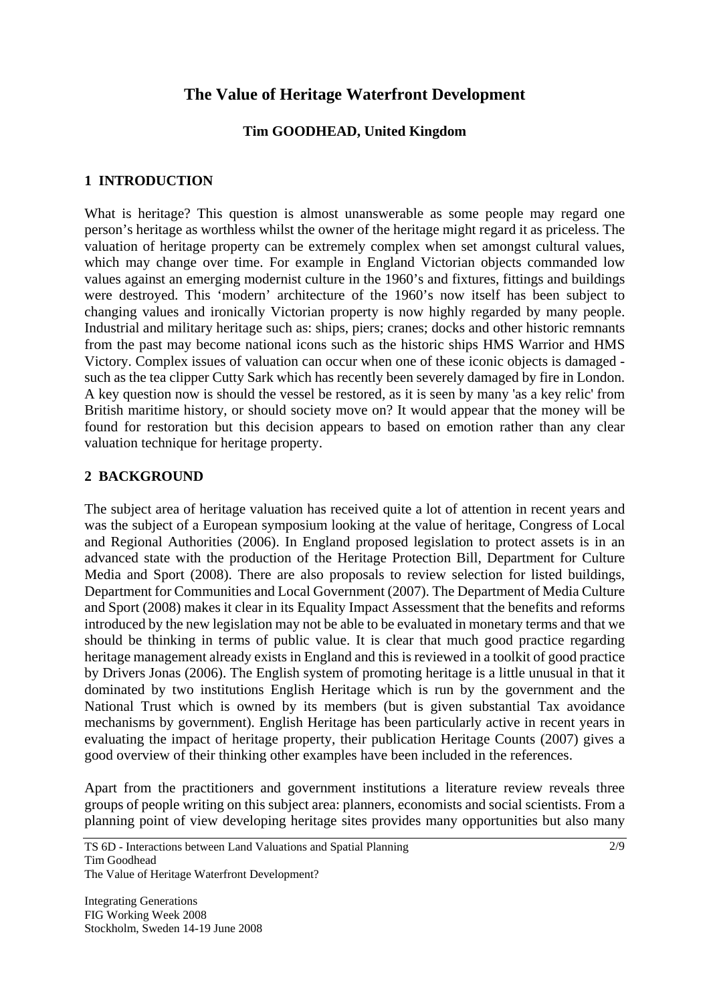# **The Value of Heritage Waterfront Development**

### **Tim GOODHEAD, United Kingdom**

#### **1 INTRODUCTION**

What is heritage? This question is almost unanswerable as some people may regard one person's heritage as worthless whilst the owner of the heritage might regard it as priceless. The valuation of heritage property can be extremely complex when set amongst cultural values, which may change over time. For example in England Victorian objects commanded low values against an emerging modernist culture in the 1960's and fixtures, fittings and buildings were destroyed. This 'modern' architecture of the 1960's now itself has been subject to changing values and ironically Victorian property is now highly regarded by many people. Industrial and military heritage such as: ships, piers; cranes; docks and other historic remnants from the past may become national icons such as the historic ships HMS Warrior and HMS Victory. Complex issues of valuation can occur when one of these iconic objects is damaged such as the tea clipper Cutty Sark which has recently been severely damaged by fire in London. A key question now is should the vessel be restored, as it is seen by many 'as a key relic' from British maritime history, or should society move on? It would appear that the money will be found for restoration but this decision appears to based on emotion rather than any clear valuation technique for heritage property.

#### **2 BACKGROUND**

The subject area of heritage valuation has received quite a lot of attention in recent years and was the subject of a European symposium looking at the value of heritage, Congress of Local and Regional Authorities (2006). In England proposed legislation to protect assets is in an advanced state with the production of the Heritage Protection Bill, Department for Culture Media and Sport (2008). There are also proposals to review selection for listed buildings, Department for Communities and Local Government (2007). The Department of Media Culture and Sport (2008) makes it clear in its Equality Impact Assessment that the benefits and reforms introduced by the new legislation may not be able to be evaluated in monetary terms and that we should be thinking in terms of public value. It is clear that much good practice regarding heritage management already exists in England and this is reviewed in a toolkit of good practice by Drivers Jonas (2006). The English system of promoting heritage is a little unusual in that it dominated by two institutions English Heritage which is run by the government and the National Trust which is owned by its members (but is given substantial Tax avoidance mechanisms by government). English Heritage has been particularly active in recent years in evaluating the impact of heritage property, their publication Heritage Counts (2007) gives a good overview of their thinking other examples have been included in the references.

Apart from the practitioners and government institutions a literature review reveals three groups of people writing on this subject area: planners, economists and social scientists. From a planning point of view developing heritage sites provides many opportunities but also many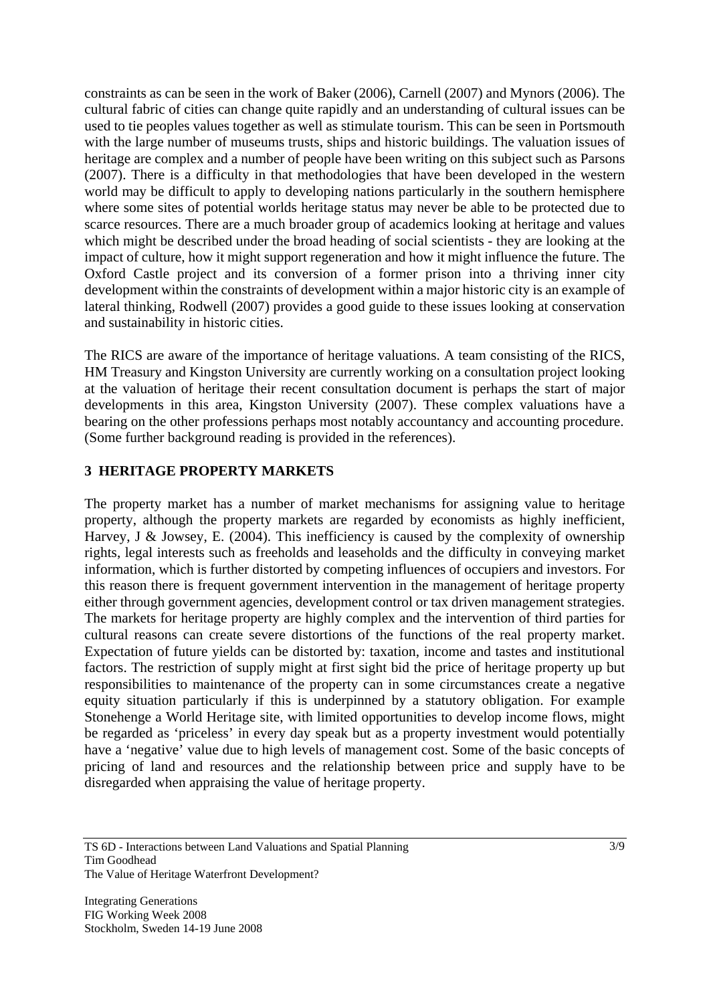constraints as can be seen in the work of Baker (2006), Carnell (2007) and Mynors (2006). The cultural fabric of cities can change quite rapidly and an understanding of cultural issues can be used to tie peoples values together as well as stimulate tourism. This can be seen in Portsmouth with the large number of museums trusts, ships and historic buildings. The valuation issues of heritage are complex and a number of people have been writing on this subject such as Parsons (2007). There is a difficulty in that methodologies that have been developed in the western world may be difficult to apply to developing nations particularly in the southern hemisphere where some sites of potential worlds heritage status may never be able to be protected due to scarce resources. There are a much broader group of academics looking at heritage and values which might be described under the broad heading of social scientists - they are looking at the impact of culture, how it might support regeneration and how it might influence the future. The Oxford Castle project and its conversion of a former prison into a thriving inner city development within the constraints of development within a major historic city is an example of lateral thinking, Rodwell (2007) provides a good guide to these issues looking at conservation and sustainability in historic cities.

The RICS are aware of the importance of heritage valuations. A team consisting of the RICS, HM Treasury and Kingston University are currently working on a consultation project looking at the valuation of heritage their recent consultation document is perhaps the start of major developments in this area, Kingston University (2007). These complex valuations have a bearing on the other professions perhaps most notably accountancy and accounting procedure. (Some further background reading is provided in the references).

### **3 HERITAGE PROPERTY MARKETS**

The property market has a number of market mechanisms for assigning value to heritage property, although the property markets are regarded by economists as highly inefficient, Harvey, J & Jowsey, E. (2004). This inefficiency is caused by the complexity of ownership rights, legal interests such as freeholds and leaseholds and the difficulty in conveying market information, which is further distorted by competing influences of occupiers and investors. For this reason there is frequent government intervention in the management of heritage property either through government agencies, development control or tax driven management strategies. The markets for heritage property are highly complex and the intervention of third parties for cultural reasons can create severe distortions of the functions of the real property market. Expectation of future yields can be distorted by: taxation, income and tastes and institutional factors. The restriction of supply might at first sight bid the price of heritage property up but responsibilities to maintenance of the property can in some circumstances create a negative equity situation particularly if this is underpinned by a statutory obligation. For example Stonehenge a World Heritage site, with limited opportunities to develop income flows, might be regarded as 'priceless' in every day speak but as a property investment would potentially have a 'negative' value due to high levels of management cost. Some of the basic concepts of pricing of land and resources and the relationship between price and supply have to be disregarded when appraising the value of heritage property.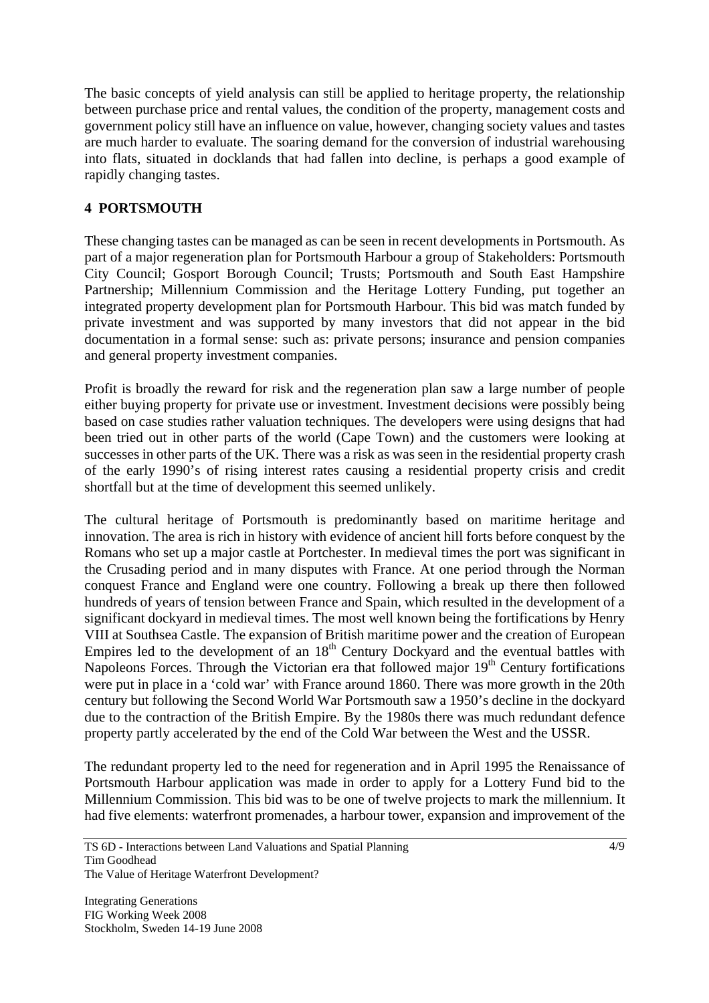The basic concepts of yield analysis can still be applied to heritage property, the relationship between purchase price and rental values, the condition of the property, management costs and government policy still have an influence on value, however, changing society values and tastes are much harder to evaluate. The soaring demand for the conversion of industrial warehousing into flats, situated in docklands that had fallen into decline, is perhaps a good example of rapidly changing tastes.

## **4 PORTSMOUTH**

These changing tastes can be managed as can be seen in recent developments in Portsmouth. As part of a major regeneration plan for Portsmouth Harbour a group of Stakeholders: Portsmouth City Council; Gosport Borough Council; Trusts; Portsmouth and South East Hampshire Partnership; Millennium Commission and the Heritage Lottery Funding, put together an integrated property development plan for Portsmouth Harbour. This bid was match funded by private investment and was supported by many investors that did not appear in the bid documentation in a formal sense: such as: private persons; insurance and pension companies and general property investment companies.

Profit is broadly the reward for risk and the regeneration plan saw a large number of people either buying property for private use or investment. Investment decisions were possibly being based on case studies rather valuation techniques. The developers were using designs that had been tried out in other parts of the world (Cape Town) and the customers were looking at successes in other parts of the UK. There was a risk as was seen in the residential property crash of the early 1990's of rising interest rates causing a residential property crisis and credit shortfall but at the time of development this seemed unlikely.

The cultural heritage of Portsmouth is predominantly based on maritime heritage and innovation. The area is rich in history with evidence of ancient hill forts before conquest by the Romans who set up a major castle at Portchester. In medieval times the port was significant in the Crusading period and in many disputes with France. At one period through the Norman conquest France and England were one country. Following a break up there then followed hundreds of years of tension between France and Spain, which resulted in the development of a significant dockyard in medieval times. The most well known being the fortifications by Henry VIII at Southsea Castle. The expansion of British maritime power and the creation of European Empires led to the development of an  $18<sup>th</sup>$  Century Dockyard and the eventual battles with Napoleons Forces. Through the Victorian era that followed major  $19<sup>th</sup>$  Century fortifications were put in place in a 'cold war' with France around 1860. There was more growth in the 20th century but following the Second World War Portsmouth saw a 1950's decline in the dockyard due to the contraction of the British Empire. By the 1980s there was much redundant defence property partly accelerated by the end of the Cold War between the West and the USSR.

The redundant property led to the need for regeneration and in April 1995 the Renaissance of Portsmouth Harbour application was made in order to apply for a Lottery Fund bid to the Millennium Commission. This bid was to be one of twelve projects to mark the millennium. It had five elements: waterfront promenades, a harbour tower, expansion and improvement of the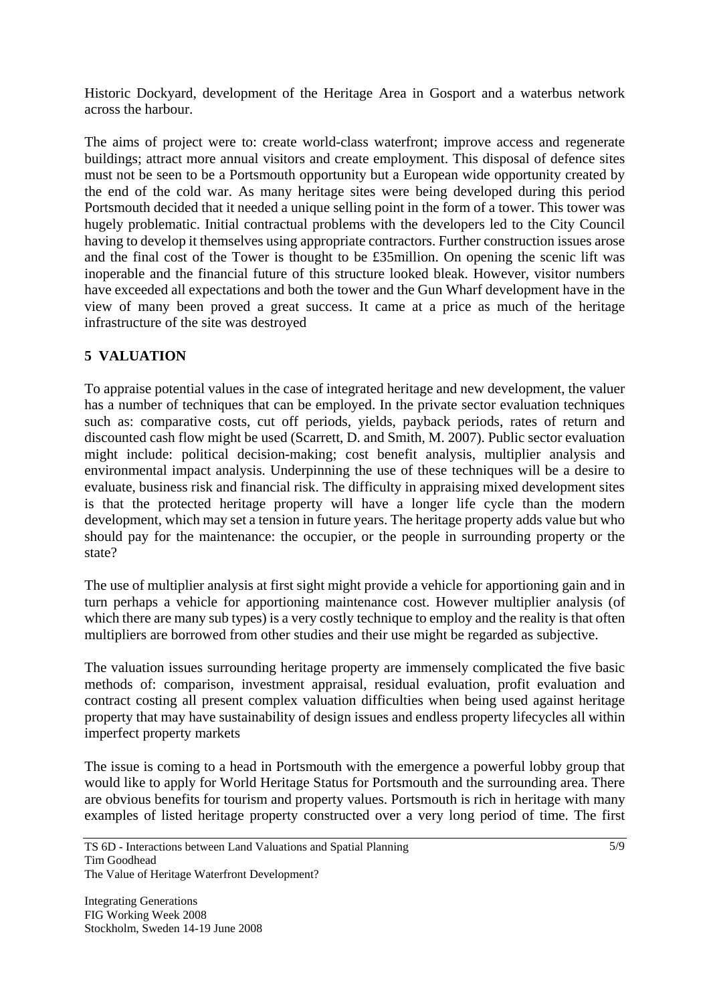Historic Dockyard, development of the Heritage Area in Gosport and a waterbus network across the harbour.

The aims of project were to: create world-class waterfront; improve access and regenerate buildings; attract more annual visitors and create employment. This disposal of defence sites must not be seen to be a Portsmouth opportunity but a European wide opportunity created by the end of the cold war. As many heritage sites were being developed during this period Portsmouth decided that it needed a unique selling point in the form of a tower. This tower was hugely problematic. Initial contractual problems with the developers led to the City Council having to develop it themselves using appropriate contractors. Further construction issues arose and the final cost of the Tower is thought to be £35million. On opening the scenic lift was inoperable and the financial future of this structure looked bleak. However, visitor numbers have exceeded all expectations and both the tower and the Gun Wharf development have in the view of many been proved a great success. It came at a price as much of the heritage infrastructure of the site was destroyed

### **5 VALUATION**

To appraise potential values in the case of integrated heritage and new development, the valuer has a number of techniques that can be employed. In the private sector evaluation techniques such as: comparative costs, cut off periods, yields, payback periods, rates of return and discounted cash flow might be used (Scarrett, D. and Smith, M. 2007). Public sector evaluation might include: political decision-making; cost benefit analysis, multiplier analysis and environmental impact analysis. Underpinning the use of these techniques will be a desire to evaluate, business risk and financial risk. The difficulty in appraising mixed development sites is that the protected heritage property will have a longer life cycle than the modern development, which may set a tension in future years. The heritage property adds value but who should pay for the maintenance: the occupier, or the people in surrounding property or the state?

The use of multiplier analysis at first sight might provide a vehicle for apportioning gain and in turn perhaps a vehicle for apportioning maintenance cost. However multiplier analysis (of which there are many sub types) is a very costly technique to employ and the reality is that often multipliers are borrowed from other studies and their use might be regarded as subjective.

The valuation issues surrounding heritage property are immensely complicated the five basic methods of: comparison, investment appraisal, residual evaluation, profit evaluation and contract costing all present complex valuation difficulties when being used against heritage property that may have sustainability of design issues and endless property lifecycles all within imperfect property markets

The issue is coming to a head in Portsmouth with the emergence a powerful lobby group that would like to apply for World Heritage Status for Portsmouth and the surrounding area. There are obvious benefits for tourism and property values. Portsmouth is rich in heritage with many examples of listed heritage property constructed over a very long period of time. The first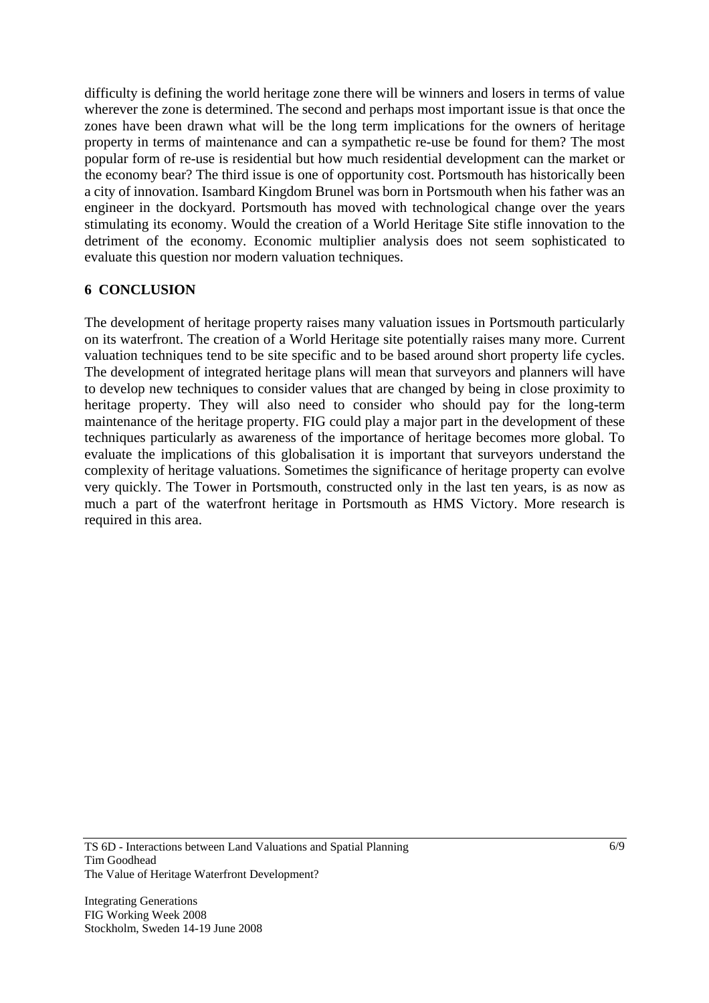difficulty is defining the world heritage zone there will be winners and losers in terms of value wherever the zone is determined. The second and perhaps most important issue is that once the zones have been drawn what will be the long term implications for the owners of heritage property in terms of maintenance and can a sympathetic re-use be found for them? The most popular form of re-use is residential but how much residential development can the market or the economy bear? The third issue is one of opportunity cost. Portsmouth has historically been a city of innovation. Isambard Kingdom Brunel was born in Portsmouth when his father was an engineer in the dockyard. Portsmouth has moved with technological change over the years stimulating its economy. Would the creation of a World Heritage Site stifle innovation to the detriment of the economy. Economic multiplier analysis does not seem sophisticated to evaluate this question nor modern valuation techniques.

### **6 CONCLUSION**

The development of heritage property raises many valuation issues in Portsmouth particularly on its waterfront. The creation of a World Heritage site potentially raises many more. Current valuation techniques tend to be site specific and to be based around short property life cycles. The development of integrated heritage plans will mean that surveyors and planners will have to develop new techniques to consider values that are changed by being in close proximity to heritage property. They will also need to consider who should pay for the long-term maintenance of the heritage property. FIG could play a major part in the development of these techniques particularly as awareness of the importance of heritage becomes more global. To evaluate the implications of this globalisation it is important that surveyors understand the complexity of heritage valuations. Sometimes the significance of heritage property can evolve very quickly. The Tower in Portsmouth, constructed only in the last ten years, is as now as much a part of the waterfront heritage in Portsmouth as HMS Victory. More research is required in this area.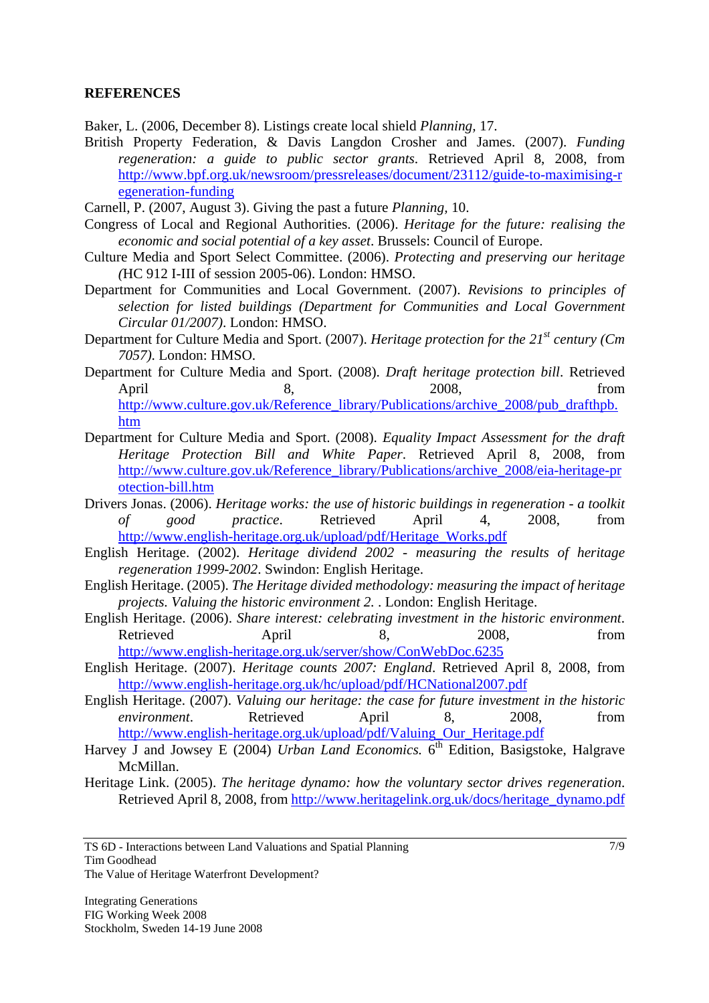#### **REFERENCES**

Baker, L. (2006, December 8). Listings create local shield *Planning,* 17.

- British Property Federation, & Davis Langdon Crosher and James. (2007). *Funding regeneration: a guide to public sector grants*. Retrieved April 8, 2008, from http://www.bpf.org.uk/newsroom/pressreleases/document/23112/guide-to-maximising-r egeneration-funding
- Carnell, P. (2007, August 3). Giving the past a future *Planning,* 10.
- Congress of Local and Regional Authorities. (2006). *Heritage for the future: realising the economic and social potential of a key asset*. Brussels: Council of Europe.
- Culture Media and Sport Select Committee. (2006). *Protecting and preserving our heritage (*HC 912 I-III of session 2005-06). London: HMSO.
- Department for Communities and Local Government. (2007). *Revisions to principles of selection for listed buildings (Department for Communities and Local Government Circular 01/2007)*. London: HMSO.
- Department for Culture Media and Sport. (2007). *Heritage protection for the 21st century (Cm 7057)*. London: HMSO.
- Department for Culture Media and Sport. (2008). *Draft heritage protection bill*. Retrieved April 8, 2008, from http://www.culture.gov.uk/Reference\_library/Publications/archive\_2008/pub\_drafthpb. htm
- Department for Culture Media and Sport. (2008). *Equality Impact Assessment for the draft Heritage Protection Bill and White Paper*. Retrieved April 8, 2008, from http://www.culture.gov.uk/Reference\_library/Publications/archive\_2008/eia-heritage-pr otection-bill.htm
- Drivers Jonas. (2006). *Heritage works: the use of historic buildings in regeneration a toolkit of good practice*. Retrieved April 4, 2008, from http://www.english-heritage.org.uk/upload/pdf/Heritage\_Works.pdf
- English Heritage. (2002). *Heritage dividend 2002 measuring the results of heritage regeneration 1999-2002*. Swindon: English Heritage.
- English Heritage. (2005). *The Heritage divided methodology: measuring the impact of heritage projects. Valuing the historic environment 2.* . London: English Heritage.
- English Heritage. (2006). *Share interest: celebrating investment in the historic environment*. Retrieved April 8, 2008, from http://www.english-heritage.org.uk/server/show/ConWebDoc.6235
- English Heritage. (2007). *Heritage counts 2007: England*. Retrieved April 8, 2008, from http://www.english-heritage.org.uk/hc/upload/pdf/HCNational2007.pdf
- English Heritage. (2007). *Valuing our heritage: the case for future investment in the historic environment*. Retrieved April 8, 2008, from http://www.english-heritage.org.uk/upload/pdf/Valuing\_Our\_Heritage.pdf
- Harvey J and Jowsey E (2004) *Urban Land Economics*. 6<sup>th</sup> Edition, Basigstoke, Halgrave McMillan.
- Heritage Link. (2005). *The heritage dynamo: how the voluntary sector drives regeneration*. Retrieved April 8, 2008, from http://www.heritagelink.org.uk/docs/heritage\_dynamo.pdf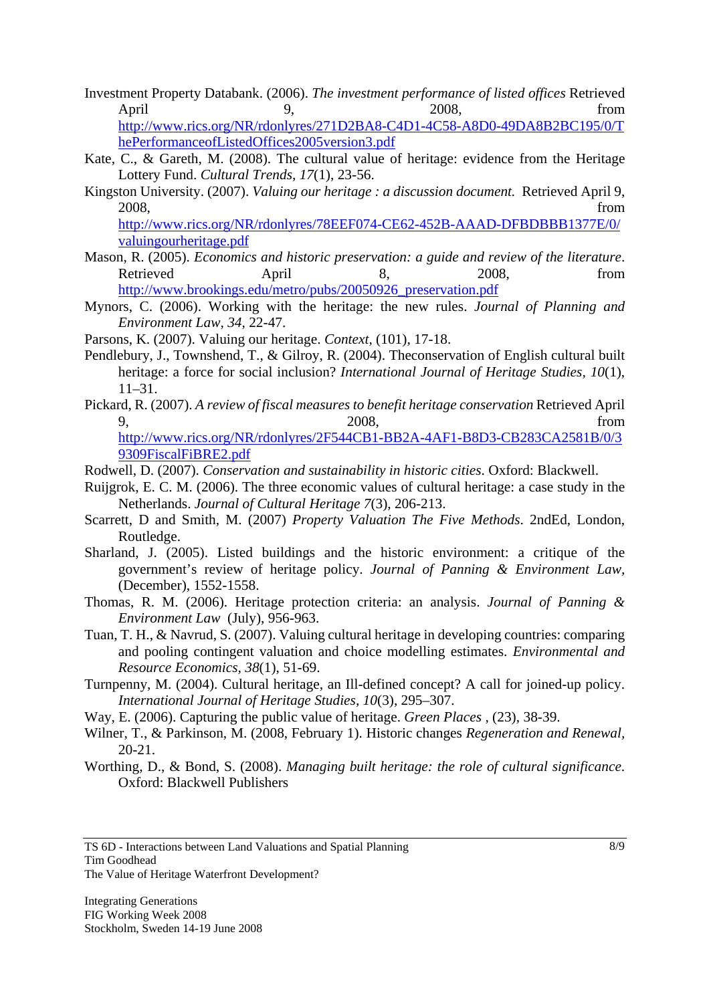- Investment Property Databank. (2006). *The investment performance of listed offices* Retrieved April 9, 2008, from http://www.rics.org/NR/rdonlyres/271D2BA8-C4D1-4C58-A8D0-49DA8B2BC195/0/T hePerformanceofListedOffices2005version3.pdf
- Kate, C., & Gareth, M. (2008). The cultural value of heritage: evidence from the Heritage Lottery Fund. *Cultural Trends, 17*(1), 23-56.
- Kingston University. (2007). *Valuing our heritage : a discussion document.* Retrieved April 9, 2008, from

http://www.rics.org/NR/rdonlyres/78EEF074-CE62-452B-AAAD-DFBDBBB1377E/0/ valuingourheritage.pdf

- Mason, R. (2005). *Economics and historic preservation: a guide and review of the literature*. Retrieved April 8, 2008, from http://www.brookings.edu/metro/pubs/20050926\_preservation.pdf
- Mynors, C. (2006). Working with the heritage: the new rules. *Journal of Planning and Environment Law, 34*, 22-47.
- Parsons, K. (2007). Valuing our heritage. *Context,* (101), 17-18.
- Pendlebury, J., Townshend, T., & Gilroy, R. (2004). Theconservation of English cultural built heritage: a force for social inclusion? *International Journal of Heritage Studies, 10*(1),  $11-31$
- Pickard, R. (2007). *A review of fiscal measures to benefit heritage conservation* Retrieved April 9, 2008, from

http://www.rics.org/NR/rdonlyres/2F544CB1-BB2A-4AF1-B8D3-CB283CA2581B/0/3 9309FiscalFiBRE2.pdf

- Rodwell, D. (2007). *Conservation and sustainability in historic cities*. Oxford: Blackwell.
- Ruijgrok, E. C. M. (2006). The three economic values of cultural heritage: a case study in the Netherlands. *Journal of Cultural Heritage 7*(3), 206-213.
- Scarrett, D and Smith, M. (2007) *Property Valuation The Five Methods*. 2ndEd, London, Routledge.
- Sharland, J. (2005). Listed buildings and the historic environment: a critique of the government's review of heritage policy. *Journal of Panning & Environment Law,*  (December), 1552-1558.
- Thomas, R. M. (2006). Heritage protection criteria: an analysis. *Journal of Panning & Environment Law* (July), 956-963.
- Tuan, T. H., & Navrud, S. (2007). Valuing cultural heritage in developing countries: comparing and pooling contingent valuation and choice modelling estimates. *Environmental and Resource Economics, 38*(1), 51-69.
- Turnpenny, M. (2004). Cultural heritage, an Ill-defined concept? A call for joined-up policy. *International Journal of Heritage Studies, 10*(3), 295–307.
- Way, E. (2006). Capturing the public value of heritage. *Green Places ,* (23), 38-39.
- Wilner, T., & Parkinson, M. (2008, February 1). Historic changes *Regeneration and Renewal,* 20-21.
- Worthing, D., & Bond, S. (2008). *Managing built heritage: the role of cultural significance*. Oxford: Blackwell Publishers